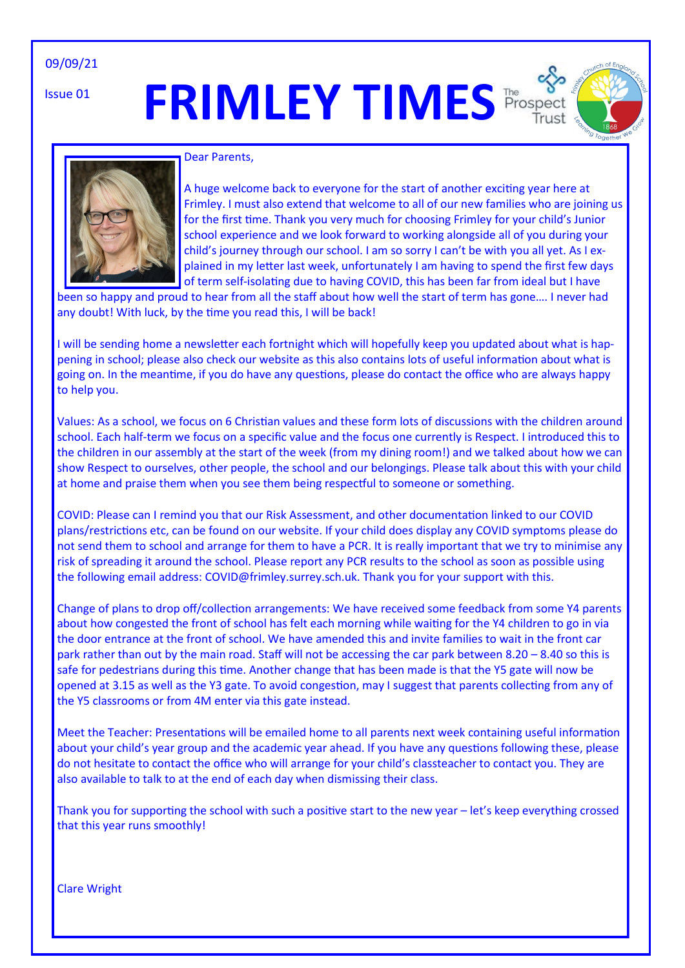09/09/21

Issue 01

# **FRIMLEY TIMES** Prospec





#### Dear Parents,

A huge welcome back to everyone for the start of another exciting year here at Frimley. I must also extend that welcome to all of our new families who are joining us for the first time. Thank you very much for choosing Frimley for your child's Junior school experience and we look forward to working alongside all of you during your child's journey through our school. I am so sorry I can't be with you all yet. As I explained in my letter last week, unfortunately I am having to spend the first few days of term self-isolating due to having COVID, this has been far from ideal but I have

been so happy and proud to hear from all the staff about how well the start of term has gone…. I never had any doubt! With luck, by the time you read this, I will be back!

I will be sending home a newsletter each fortnight which will hopefully keep you updated about what is happening in school; please also check our website as this also contains lots of useful information about what is going on. In the meantime, if you do have any questions, please do contact the office who are always happy to help you.

Values: As a school, we focus on 6 Christian values and these form lots of discussions with the children around school. Each half-term we focus on a specific value and the focus one currently is Respect. I introduced this to the children in our assembly at the start of the week (from my dining room!) and we talked about how we can show Respect to ourselves, other people, the school and our belongings. Please talk about this with your child at home and praise them when you see them being respectful to someone or something.

COVID: Please can I remind you that our Risk Assessment, and other documentation linked to our COVID plans/restrictions etc, can be found on our website. If your child does display any COVID symptoms please do not send them to school and arrange for them to have a PCR. It is really important that we try to minimise any risk of spreading it around the school. Please report any PCR results to the school as soon as possible using the following email address: COVID@frimley.surrey.sch.uk. Thank you for your support with this.

Change of plans to drop off/collection arrangements: We have received some feedback from some Y4 parents about how congested the front of school has felt each morning while waiting for the Y4 children to go in via the door entrance at the front of school. We have amended this and invite families to wait in the front car park rather than out by the main road. Staff will not be accessing the car park between 8.20 – 8.40 so this is safe for pedestrians during this time. Another change that has been made is that the Y5 gate will now be opened at 3.15 as well as the Y3 gate. To avoid congestion, may I suggest that parents collecting from any of the Y5 classrooms or from 4M enter via this gate instead.

Meet the Teacher: Presentations will be emailed home to all parents next week containing useful information about your child's year group and the academic year ahead. If you have any questions following these, please do not hesitate to contact the office who will arrange for your child's classteacher to contact you. They are also available to talk to at the end of each day when dismissing their class.

Thank you for supporting the school with such a positive start to the new year – let's keep everything crossed that this year runs smoothly!

Clare Wright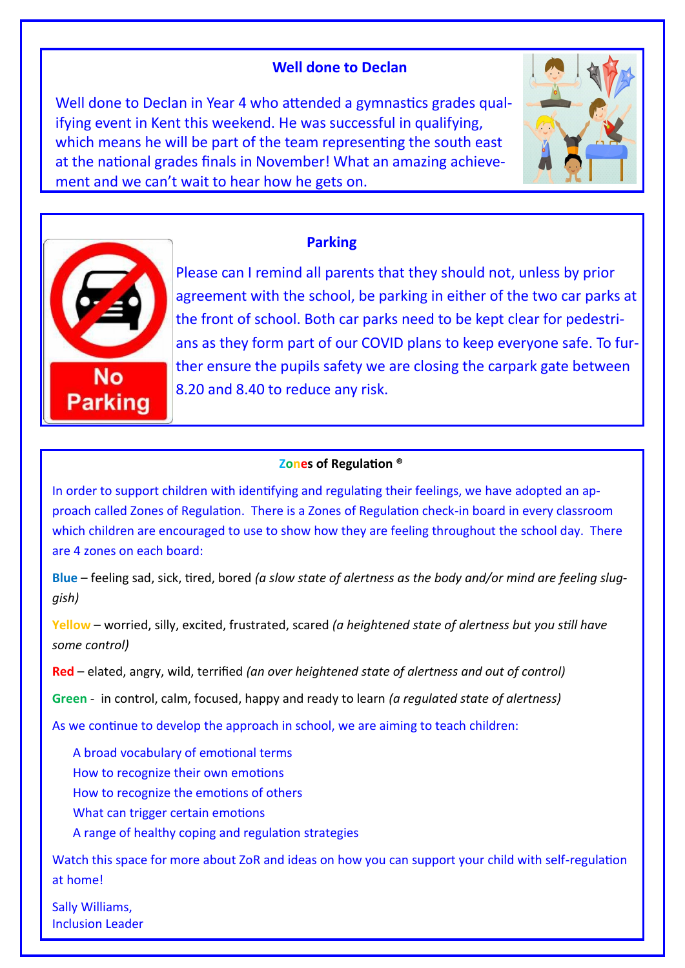## **Well done to Declan**

Well done to Declan in Year 4 who attended a gymnastics grades qualifying event in Kent this weekend. He was successful in qualifying, which means he will be part of the team representing the south east at the national grades finals in November! What an amazing achievement and we can't wait to hear how he gets on.





### **Parking**

Please can I remind all parents that they should not, unless by prior agreement with the school, be parking in either of the two car parks at the front of school. Both car parks need to be kept clear for pedestrians as they form part of our COVID plans to keep everyone safe. To further ensure the pupils safety we are closing the carpark gate between 8.20 and 8.40 to reduce any risk.

#### **Zones of Regulation ®**

In order to support children with identifying and regulating their feelings, we have adopted an approach called Zones of Regulation. There is a Zones of Regulation check-in board in every classroom which children are encouraged to use to show how they are feeling throughout the school day. There are 4 zones on each board:

**Blue** – feeling sad, sick, tired, bored *(a slow state of alertness as the body and/or mind are feeling sluggish)*

**Yellow** – worried, silly, excited, frustrated, scared *(a heightened state of alertness but you still have some control)* 

**Red** – elated, angry, wild, terrified *(an over heightened state of alertness and out of control)*

**Green** - in control, calm, focused, happy and ready to learn *(a regulated state of alertness)* 

As we continue to develop the approach in school, we are aiming to teach children:

A broad vocabulary of emotional terms How to recognize their own emotions How to recognize the emotions of others What can trigger certain emotions A range of healthy coping and regulation strategies

Watch this space for more about ZoR and ideas on how you can support your child with self-regulation at home!

Sally Williams, Inclusion Leader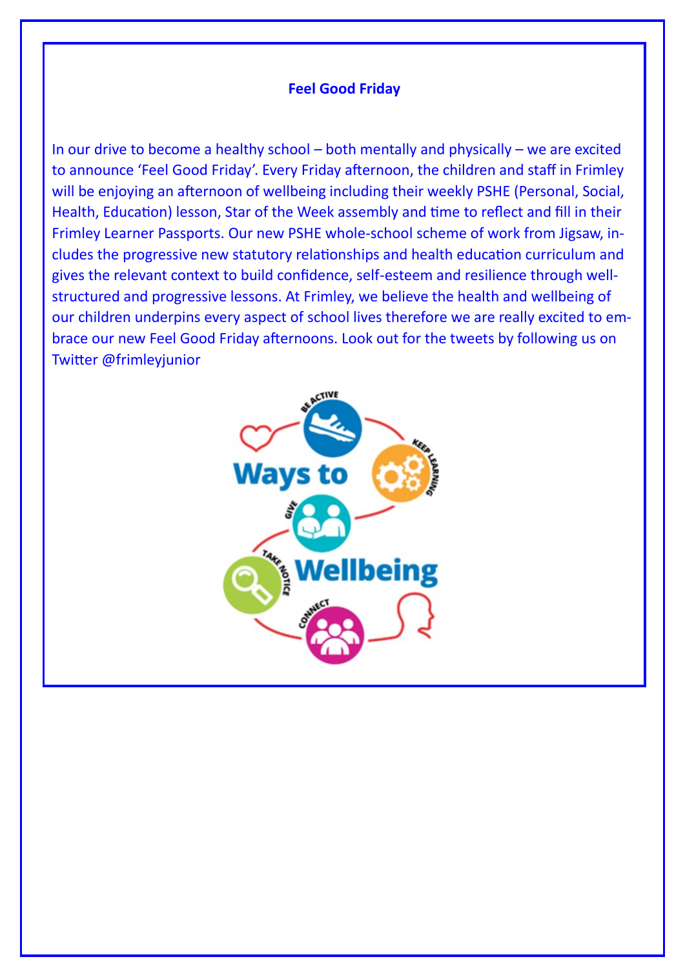### **Feel Good Friday**

In our drive to become a healthy school – both mentally and physically – we are excited to announce 'Feel Good Friday'. Every Friday afternoon, the children and staff in Frimley will be enjoying an afternoon of wellbeing including their weekly PSHE (Personal, Social, Health, Education) lesson, Star of the Week assembly and time to reflect and fill in their Frimley Learner Passports. Our new PSHE whole-school scheme of work from Jigsaw, includes the progressive new statutory relationships and health education curriculum and gives the relevant context to build confidence, self-esteem and resilience through wellstructured and progressive lessons. At Frimley, we believe the health and wellbeing of our children underpins every aspect of school lives therefore we are really excited to embrace our new Feel Good Friday afternoons. Look out for the tweets by following us on Twitter @frimleyjunior